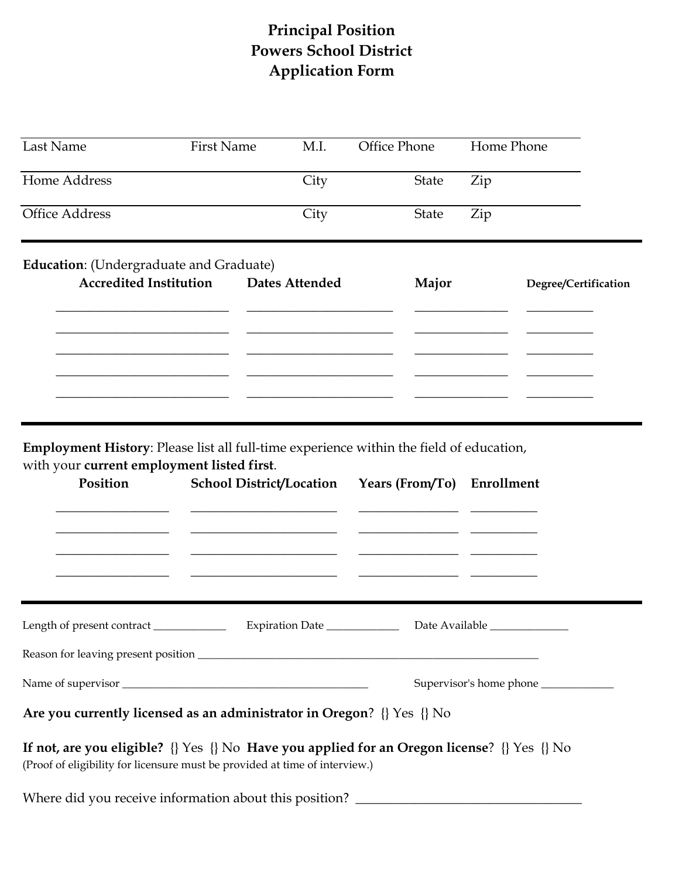## **Principal Position Powers School District Application Form**

| Last Name                                                                                                                                         | <b>First Name</b>               | M.I.            | Office Phone               | Home Phone |                                       |  |  |  |
|---------------------------------------------------------------------------------------------------------------------------------------------------|---------------------------------|-----------------|----------------------------|------------|---------------------------------------|--|--|--|
| Home Address                                                                                                                                      |                                 | City            | State                      | Zip        |                                       |  |  |  |
| <b>Office Address</b>                                                                                                                             |                                 | City            | State                      | Zip        |                                       |  |  |  |
| <b>Education:</b> (Undergraduate and Graduate)                                                                                                    |                                 |                 |                            |            |                                       |  |  |  |
| <b>Accredited Institution</b>                                                                                                                     |                                 | Dates Attended  | Major                      |            | Degree/Certification                  |  |  |  |
|                                                                                                                                                   |                                 |                 |                            |            |                                       |  |  |  |
|                                                                                                                                                   |                                 |                 |                            |            |                                       |  |  |  |
| Employment History: Please list all full-time experience within the field of education,<br>with your current employment listed first.<br>Position | <b>School District/Location</b> |                 | Years (From/To) Enrollment |            |                                       |  |  |  |
| Length of present contract ____________                                                                                                           |                                 | Expiration Date |                            |            |                                       |  |  |  |
|                                                                                                                                                   |                                 |                 |                            |            |                                       |  |  |  |
|                                                                                                                                                   |                                 |                 |                            |            | Supervisor's home phone _____________ |  |  |  |
| Are you currently licensed as an administrator in Oregon? {} Yes {} No                                                                            |                                 |                 |                            |            |                                       |  |  |  |

**If not, are you eligible?** {} Yes {} No **Have you applied for an Oregon license**? {} Yes {} No (Proof of eligibility for licensure must be provided at time of interview.)

Where did you receive information about this position? \_\_\_\_\_\_\_\_\_\_\_\_\_\_\_\_\_\_\_\_\_\_\_\_\_